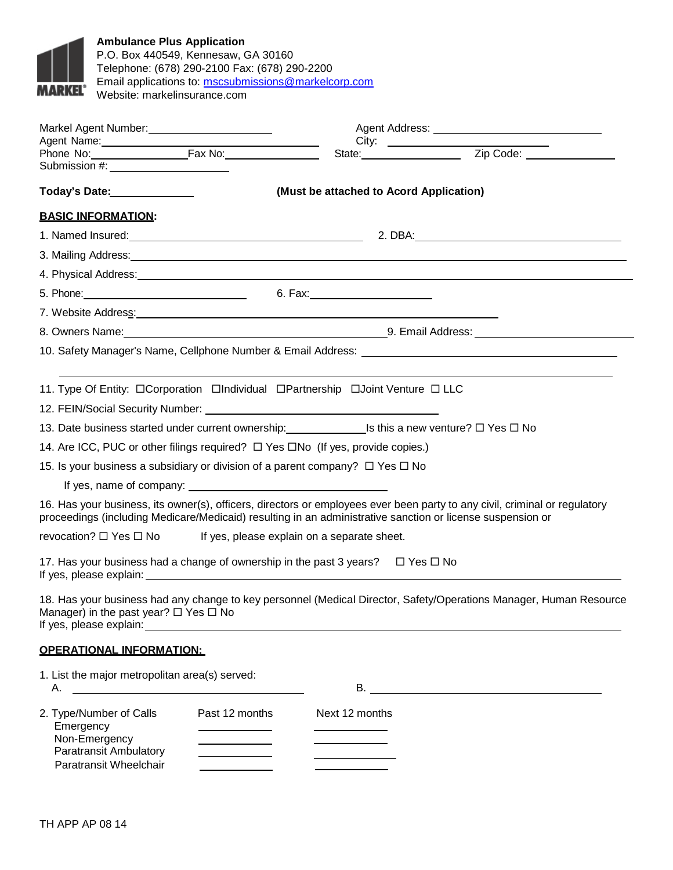

**Ambulance Plus Application** P.O. Box 440549, Kennesaw, GA 30160 Telephone: (678) 290-2100 Fax: (678) 290-2200 Email applications to: [mscsubmissions@markelcorp.com](mailto:mscsubmissions@markelcorp.com) **MARKEL** Website: markelinsurance.com

| Markel Agent Number: ________________________                                                                                                                                                                                       |                |                                             |                                                                                                                                                                                                                                     |  |
|-------------------------------------------------------------------------------------------------------------------------------------------------------------------------------------------------------------------------------------|----------------|---------------------------------------------|-------------------------------------------------------------------------------------------------------------------------------------------------------------------------------------------------------------------------------------|--|
| Agent Name:<br>Phone No: Fax No: Fax No:                                                                                                                                                                                            |                |                                             |                                                                                                                                                                                                                                     |  |
|                                                                                                                                                                                                                                     |                |                                             |                                                                                                                                                                                                                                     |  |
| Today's Date: 1997                                                                                                                                                                                                                  |                | (Must be attached to Acord Application)     |                                                                                                                                                                                                                                     |  |
| <b>BASIC INFORMATION:</b>                                                                                                                                                                                                           |                |                                             |                                                                                                                                                                                                                                     |  |
| 1. Named Insured: <u>contained</u> and a series of the series of the series of the series of the series of the series of the series of the series of the series of the series of the series of the series of the series of the seri |                |                                             |                                                                                                                                                                                                                                     |  |
|                                                                                                                                                                                                                                     |                |                                             | 3. Mailing Address: <u>contract and a series of the series of the series of the series of the series of the series of</u>                                                                                                           |  |
|                                                                                                                                                                                                                                     |                |                                             | 4. Physical Address: <u>experience</u> and the contract of the contract of the contract of the contract of the contract of the contract of the contract of the contract of the contract of the contract of the contract of the cont |  |
|                                                                                                                                                                                                                                     |                |                                             |                                                                                                                                                                                                                                     |  |
| 7. Website Address: <u>contract and a series of the series of the series of the series of the series of the series of</u>                                                                                                           |                |                                             |                                                                                                                                                                                                                                     |  |
|                                                                                                                                                                                                                                     |                |                                             |                                                                                                                                                                                                                                     |  |
|                                                                                                                                                                                                                                     |                |                                             |                                                                                                                                                                                                                                     |  |
| 11. Type Of Entity: $\Box$ Corporation $\Box$ Individual $\Box$ Partnership $\Box$ Joint Venture $\Box$ LLC                                                                                                                         |                |                                             |                                                                                                                                                                                                                                     |  |
|                                                                                                                                                                                                                                     |                |                                             |                                                                                                                                                                                                                                     |  |
| 13. Date business started under current ownership: ____________________Is this a new venture? $\Box$ Yes $\Box$ No                                                                                                                  |                |                                             |                                                                                                                                                                                                                                     |  |
| 14. Are ICC, PUC or other filings required? □ Yes □No (If yes, provide copies.)                                                                                                                                                     |                |                                             |                                                                                                                                                                                                                                     |  |
| 15. Is your business a subsidiary or division of a parent company? $\Box$ Yes $\Box$ No                                                                                                                                             |                |                                             |                                                                                                                                                                                                                                     |  |
|                                                                                                                                                                                                                                     |                |                                             |                                                                                                                                                                                                                                     |  |
| proceedings (including Medicare/Medicaid) resulting in an administrative sanction or license suspension or                                                                                                                          |                |                                             | 16. Has your business, its owner(s), officers, directors or employees ever been party to any civil, criminal or regulatory                                                                                                          |  |
| revocation? $\square$ Yes $\square$ No                                                                                                                                                                                              |                | If yes, please explain on a separate sheet. |                                                                                                                                                                                                                                     |  |
| 17. Has your business had a change of ownership in the past 3 years? $\Box$ Yes $\Box$ No                                                                                                                                           |                |                                             |                                                                                                                                                                                                                                     |  |
| Manager) in the past year? $\Box$ Yes $\Box$ No<br>If yes, please explain:                                                                                                                                                          |                |                                             | 18. Has your business had any change to key personnel (Medical Director, Safety/Operations Manager, Human Resource                                                                                                                  |  |
| <b>OPERATIONAL INFORMATION:</b>                                                                                                                                                                                                     |                |                                             |                                                                                                                                                                                                                                     |  |
| 1. List the major metropolitan area(s) served:<br>А.<br><u> 1989 - Johann Barbara, martxa eta idazlea (h. 1989).</u>                                                                                                                |                | В.                                          |                                                                                                                                                                                                                                     |  |
| 2. Type/Number of Calls<br>Emergency<br>Non-Emergency<br><b>Paratransit Ambulatory</b><br>Paratransit Wheelchair                                                                                                                    | Past 12 months | Next 12 months                              |                                                                                                                                                                                                                                     |  |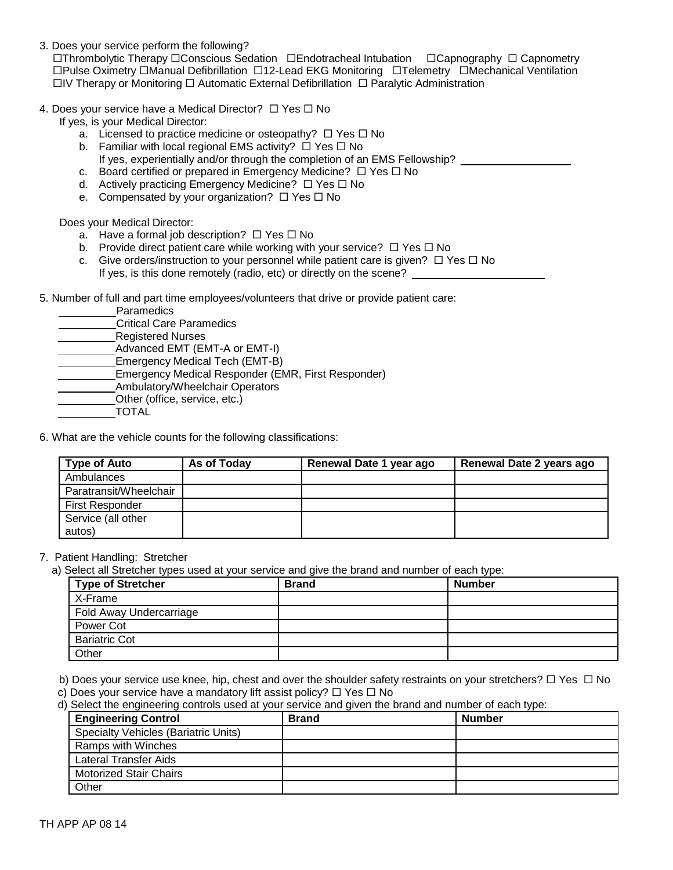3. Does your service perform the following?

Thrombolytic Therapy Conscious Sedation Endotracheal Intubation Capnography Capnometry Pulse Oximetry Manual Defibrillation 12-Lead EKG Monitoring Telemetry Mechanical Ventilation  $\Box V$  Therapy or Monitoring  $\Box$  Automatic External Defibrillation  $\Box$  Paralytic Administration

- 4. Does your service have a Medical Director?  $\Box$  Yes  $\Box$  No
	- If yes, is your Medical Director:
		- a. Licensed to practice medicine or osteopathy?  $\Box$  Yes  $\Box$  No
		- b. Familiar with local regional EMS activity?  $\Box$  Yes  $\Box$  No If yes, experientially and/or through the completion of an EMS Fellowship?
		- c. Board certified or prepared in Emergency Medicine?  $\Box$  Yes  $\Box$  No
		- d. Actively practicing Emergency Medicine?  $\Box$  Yes  $\Box$  No
		- e. Compensated by your organization?  $\Box$  Yes  $\Box$  No

Does your Medical Director:

- a. Have a formal job description?  $\Box$  Yes  $\Box$  No
- b. Provide direct patient care while working with your service?  $\Box$  Yes  $\Box$  No
- c. Give orders/instruction to your personnel while patient care is given?  $\Box$  Yes  $\Box$  No If yes, is this done remotely (radio, etc) or directly on the scene?
- 5. Number of full and part time employees/volunteers that drive or provide patient care:
	- Paramedics Critical Care Paramedics **Registered Nurses EXAMPLE 2014** Advanced EMT (EMT-A or EMT-I) Emergency Medical Tech (EMT-B) Emergency Medical Responder (EMR, First Responder) **Ambulatory/Wheelchair Operators** Other (office, service, etc.)

TOTAL

6. What are the vehicle counts for the following classifications:

| <b>Type of Auto</b>    | As of Today | Renewal Date 1 year ago | Renewal Date 2 years ago |
|------------------------|-------------|-------------------------|--------------------------|
| Ambulances             |             |                         |                          |
| Paratransit/Wheelchair |             |                         |                          |
| <b>First Responder</b> |             |                         |                          |
| Service (all other     |             |                         |                          |
| autos)                 |             |                         |                          |

# 7. Patient Handling: Stretcher

a) Select all Stretcher types used at your service and give the brand and number of each type:

| <b>Type of Stretcher</b> | <b>Brand</b> | <b>Number</b> |
|--------------------------|--------------|---------------|
| X-Frame                  |              |               |
| Fold Away Undercarriage  |              |               |
| Power Cot                |              |               |
| <b>Bariatric Cot</b>     |              |               |
| Other                    |              |               |

b) Does your service use knee, hip, chest and over the shoulder safety restraints on your stretchers?  $\Box$  Yes  $\Box$  No

c) Does your service have a mandatory lift assist policy?  $\Box$  Yes  $\Box$  No

d) Select the engineering controls used at your service and given the brand and number of each type:

| <b>Engineering Control</b>                  | <b>Brand</b> | <b>Number</b> |
|---------------------------------------------|--------------|---------------|
| <b>Specialty Vehicles (Bariatric Units)</b> |              |               |
| Ramps with Winches                          |              |               |
| Lateral Transfer Aids                       |              |               |
| <b>Motorized Stair Chairs</b>               |              |               |
| Other                                       |              |               |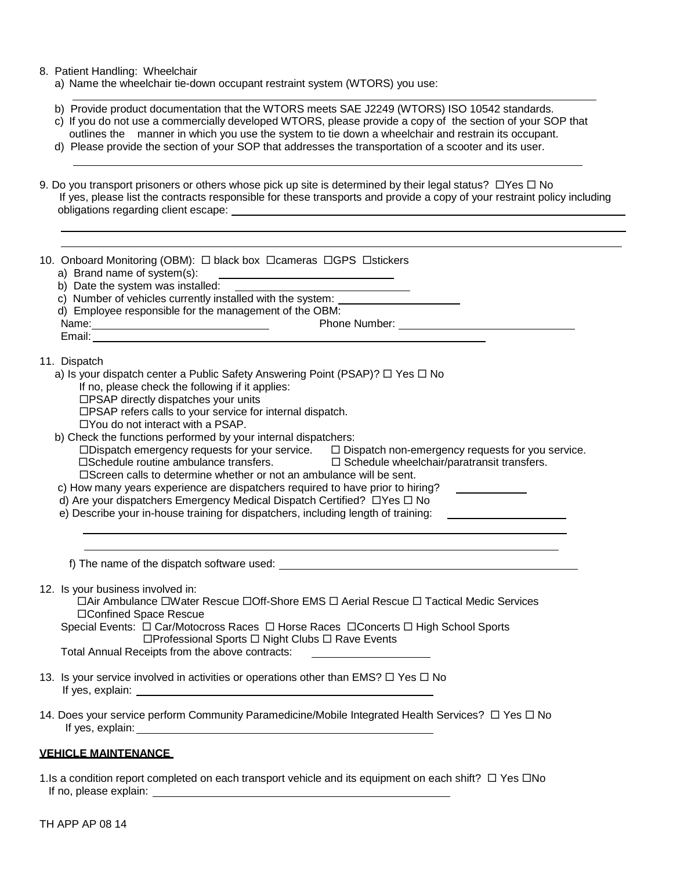8. Patient Handling: Wheelchair

- a) Name the wheelchair tie-down occupant restraint system (WTORS) you use:
- b) Provide product documentation that the WTORS meets SAE J2249 (WTORS) ISO 10542 standards.
- c) If you do not use a commercially developed WTORS, please provide a copy of the section of your SOP that
- outlines the manner in which you use the system to tie down a wheelchair and restrain its occupant.
- d) Please provide the section of your SOP that addresses the transportation of a scooter and its user.
- 9. Do you transport prisoners or others whose pick up site is determined by their legal status?  $\Box$  Yes  $\Box$  No If yes, please list the contracts responsible for these transports and provide a copy of your restraint policy including obligations regarding client escape:
- 10. Onboard Monitoring (OBM):  $\Box$  black box  $\Box$  cameras  $\Box$  GPS  $\Box$  stickers
	- a) Brand name of system(s):
	- b) Date the system was installed:
	- c) Number of vehicles currently installed with the system:
	- d) Employee responsible for the management of the OBM:
	- Name: Phone Number:
	- Email:

#### 11. Dispatch

- a) Is your dispatch center a Public Safety Answering Point (PSAP)?  $\Box$  Yes  $\Box$  No
	- If no, please check the following if it applies:
	- □PSAP directly dispatches your units
	- □PSAP refers calls to your service for internal dispatch.
	- □You do not interact with a PSAP.
- b) Check the functions performed by your internal dispatchers:

 $\Box$ Dispatch emergency requests for your service.  $\Box$  Dispatch non-emergency requests for you service.  $\square$ Schedule routine ambulance transfers.  $\square$  Schedule wheelchair/paratransit transfers. Screen calls to determine whether or not an ambulance will be sent.

- c) How many years experience are dispatchers required to have prior to hiring? \_\_\_\_\_\_\_\_\_\_\_\_
- d) Are your dispatchers Emergency Medical Dispatch Certified?  $\Box$  Yes  $\Box$  No
- e) Describe your in-house training for dispatchers, including length of training:

f) The name of the dispatch software used:

12. Is your business involved in:

- $\Box$ Air Ambulance  $\Box$ Water Rescue  $\Box$ Off-Shore EMS  $\Box$  Aerial Rescue  $\Box$  Tactical Medic Services Confined Space Rescue
- Special Events:  $\Box$  Car/Motocross Races  $\Box$  Horse Races  $\Box$  Concerts  $\Box$  High School Sports  $\Box$ Professional Sports  $\Box$  Night Clubs  $\Box$  Rave Events
- Total Annual Receipts from the above contracts:
- 13. Is your service involved in activities or operations other than EMS?  $\Box$  Yes  $\Box$  No If yes, explain:
- 14. Does your service perform Community Paramedicine/Mobile Integrated Health Services?  $\Box$  Yes  $\Box$  No If yes, explain:

## **VEHICLE MAINTENANCE**

1.Is a condition report completed on each transport vehicle and its equipment on each shift?  $\Box$  Yes  $\Box$ No If no, please explain: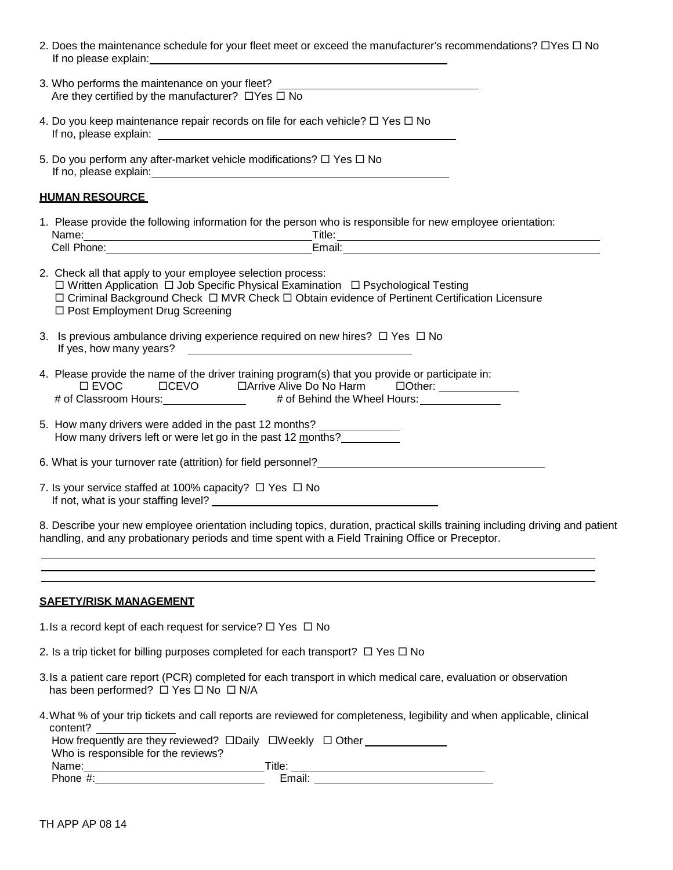2. Does the maintenance schedule for your fleet meet or exceed the manufacturer's recommendations?  $\Box$  Yes  $\Box$  No If no please explain: <u>contract the contract of the contract of the contract of the contract of the contract of</u>

| 3. Who performs the maintenance on your fleet?<br>Are they certified by the manufacturer? $\Box$ Yes $\Box$ No                                                                                                                                                                                                                                |
|-----------------------------------------------------------------------------------------------------------------------------------------------------------------------------------------------------------------------------------------------------------------------------------------------------------------------------------------------|
| 4. Do you keep maintenance repair records on file for each vehicle? $\Box$ Yes $\Box$ No                                                                                                                                                                                                                                                      |
| 5. Do you perform any after-market vehicle modifications? $\Box$ Yes $\Box$ No<br>If no, please explain: Manual Assembly and the set of the set of the set of the set of the set of the set of the set of the set of the set of the set of the set of the set of the set of the set of the set of the set of the                              |
| <b>HUMAN RESOURCE</b>                                                                                                                                                                                                                                                                                                                         |
| 1. Please provide the following information for the person who is responsible for new employee orientation:<br>Name: Title: Title: Title: Title: Title: Cell Phone: Cell Phone: Cell Phone: Title: Title: Cell Phone: Title: Title: The Title: Title: Title: Title: Title: Title: Title: Title: Title: Title: Title: Title: Title: Title: Tit |
| 2. Check all that apply to your employee selection process:<br>$\Box$ Written Application $\Box$ Job Specific Physical Examination $\Box$ Psychological Testing<br>□ Criminal Background Check □ MVR Check □ Obtain evidence of Pertinent Certification Licensure<br>□ Post Employment Drug Screening                                         |
| 3. Is previous ambulance driving experience required on new hires? $\Box$ Yes $\Box$ No<br>If yes, how many years?<br><u> 1980 - Jan Samuel Barbara, martin da shekara 1980 - An tsara 1980 - An tsara 1980 - An tsara 1980 - An tsara</u>                                                                                                    |
| 4. Please provide the name of the driver training program(s) that you provide or participate in:<br>□ EVOC □ CEVO □ □ Arrive Alive Do No Harm □ □ Other:<br># of Classroom Hours: 4 per section of Behind the Wheel Hours:                                                                                                                    |
| 5. How many drivers were added in the past 12 months? ______________<br>How many drivers left or were let go in the past 12 months?                                                                                                                                                                                                           |
| 6. What is your turnover rate (attrition) for field personnel?<br><u>Examples</u>                                                                                                                                                                                                                                                             |
| 7. Is your service staffed at 100% capacity? □ Yes □ No<br>If not, what is your staffing level?                                                                                                                                                                                                                                               |
| 8. Describe your new employee orientation including topics, duration, practical skills training including driving and patient<br>handling, and any probationary periods and time spent with a Field Training Office or Preceptor.                                                                                                             |

## **SAFETY/RISK MANAGEMENT**

| 1. Is a record kept of each request for service? $\Box$ Yes $\Box$ No |
|-----------------------------------------------------------------------|
|-----------------------------------------------------------------------|

2. Is a trip ticket for billing purposes completed for each transport?  $\Box$  Yes  $\Box$  No

- 3.Is a patient care report (PCR) completed for each transport in which medical care, evaluation or observation has been performed?  $\Box$  Yes  $\Box$  No  $\Box$  N/A
- 4.What % of your trip tickets and call reports are reviewed for completeness, legibility and when applicable, clinical content?

| How frequently are they reviewed? $\square$ Daily $\square$ Weekly $\square$ Other |        |
|------------------------------------------------------------------------------------|--------|
| Who is responsible for the reviews?                                                |        |
| Name:                                                                              | Title: |
| Phone #:                                                                           | Email: |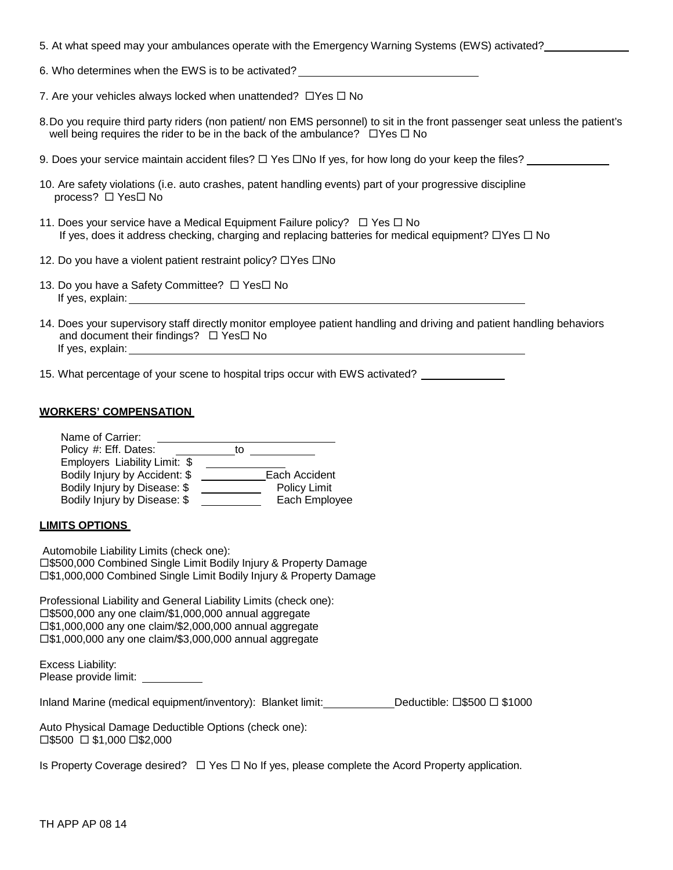5. At what speed may your ambulances operate with the Emergency Warning Systems (EWS) activated?

6. Who determines when the EWS is to be activated?

- 7. Are your vehicles always locked when unattended?  $\Box$  Yes  $\Box$  No
- 8.Do you require third party riders (non patient/ non EMS personnel) to sit in the front passenger seat unless the patient's well being requires the rider to be in the back of the ambulance?  $\Box$  Yes  $\Box$  No
- 9. Does your service maintain accident files?  $\Box$  Yes  $\Box$ No If yes, for how long do your keep the files?
- 10. Are safety violations (i.e. auto crashes, patent handling events) part of your progressive discipline process?  $\Box$  Yes $\Box$  No
- 11. Does your service have a Medical Equipment Failure policy?  $\Box$  Yes  $\Box$  No If yes, does it address checking, charging and replacing batteries for medical equipment?  $\Box$  Yes  $\Box$  No
- 12. Do you have a violent patient restraint policy?  $\Box$  Yes  $\Box$  No
- 13. Do you have a Safety Committee?  $\Box$  Yes  $\Box$  No If yes, explain:
- 14. Does your supervisory staff directly monitor employee patient handling and driving and patient handling behaviors and document their findings?  $\Box$  Yes $\Box$  No If yes, explain:
- 15. What percentage of your scene to hospital trips occur with EWS activated? \_\_\_\_\_\_\_\_\_\_

## **WORKERS' COMPENSATION**

| Name of Carrier:                                                                                                                                                                                                                                                     |                             |
|----------------------------------------------------------------------------------------------------------------------------------------------------------------------------------------------------------------------------------------------------------------------|-----------------------------|
| Policy #: Eff. Dates: _________ to                                                                                                                                                                                                                                   |                             |
| Employers Liability Limit: \$                                                                                                                                                                                                                                        |                             |
| Each Accident<br>Bodily Injury by Accident: \$                                                                                                                                                                                                                       |                             |
| Bodily Injury by Disease: \$<br>Policy Limit                                                                                                                                                                                                                         |                             |
| Each Employee<br>Bodily Injury by Disease: \$                                                                                                                                                                                                                        |                             |
|                                                                                                                                                                                                                                                                      |                             |
| <u>LIMITS OPTIONS</u>                                                                                                                                                                                                                                                |                             |
| Automobile Liability Limits (check one):<br>□\$500,000 Combined Single Limit Bodily Injury & Property Damage                                                                                                                                                         |                             |
| □\$1,000,000 Combined Single Limit Bodily Injury & Property Damage                                                                                                                                                                                                   |                             |
| Professional Liability and General Liability Limits (check one):<br>$\square$ \$500,000 any one claim/\$1,000,000 annual aggregate<br>$\Box$ \$1,000,000 any one claim/\$2,000,000 annual aggregate<br>$\Box$ \$1,000,000 any one claim/\$3,000,000 annual aggregate |                             |
| Excess Liability:<br>Please provide limit: __________                                                                                                                                                                                                                |                             |
| Inland Marine (medical equipment/inventory): Blanket limit:                                                                                                                                                                                                          | Deductible: □\$500 □ \$1000 |
| Auto Physical Damage Deductible Options (check one):<br>$\Box$ \$500 $\Box$ \$1,000 $\Box$ \$2,000                                                                                                                                                                   |                             |

Is Property Coverage desired?  $\Box$  Yes  $\Box$  No If yes, please complete the Acord Property application.